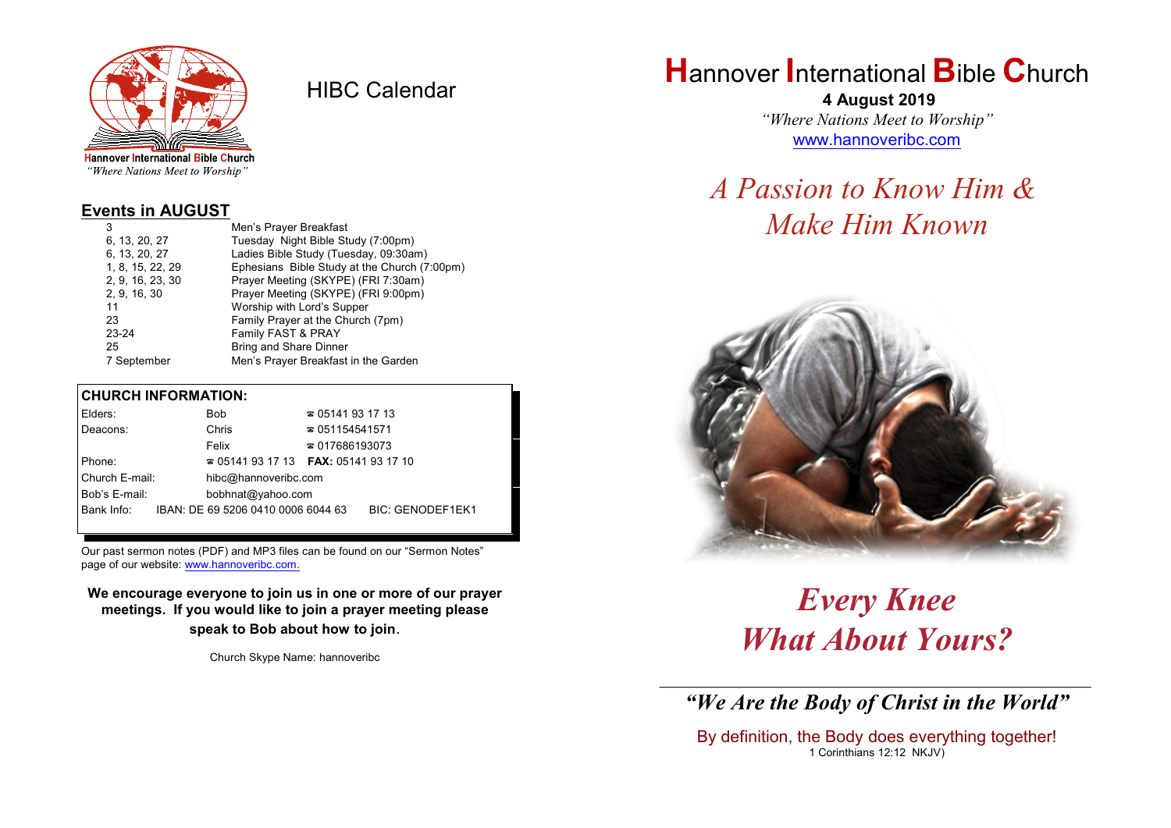

HIBC Calendar

"Where Nations Meet to Worship"

#### **Events in AUGUST**

| 3                | Men's Prayer Breakfast                       |
|------------------|----------------------------------------------|
| 6, 13, 20, 27    | Tuesday Night Bible Study (7:00pm)           |
| 6, 13, 20, 27    | Ladies Bible Study (Tuesday, 09:30am)        |
| 1, 8, 15, 22, 29 | Ephesians Bible Study at the Church (7:00pm) |
| 2, 9, 16, 23, 30 | Prayer Meeting (SKYPE) (FRI 7:30am)          |
| 2, 9, 16, 30     | Prayer Meeting (SKYPE) (FRI 9:00pm)          |
| 11               | Worship with Lord's Supper                   |
| 23               | Family Prayer at the Church (7pm)            |
| 23-24            | Family FAST & PRAY                           |
| 25               | <b>Bring and Share Dinner</b>                |
| 7 September      | Men's Prayer Breakfast in the Garden         |
|                  |                                              |

#### **CHURCH INFORMATION:**

| Elders:                                |  | <b>Bob</b> |                                    | $\approx 05141931713$                    |                         |
|----------------------------------------|--|------------|------------------------------------|------------------------------------------|-------------------------|
| Deacons:                               |  | Chris      |                                    | $\approx 051154541571$                   |                         |
|                                        |  | Felix      |                                    | $\approx 017686193073$                   |                         |
| Phone:                                 |  |            |                                    | $\approx 05141931713$ FAX: 0514193 17 10 |                         |
| Church E-mail:<br>hibc@hannoveribc.com |  |            |                                    |                                          |                         |
| Bob's E-mail:                          |  |            | bobhnat@yahoo.com                  |                                          |                         |
| Bank Info:                             |  |            | IBAN: DE 69 5206 0410 0006 6044 63 |                                          | <b>BIC: GENODEF1EK1</b> |

Our past sermon notes (PDF) and MP3 files can be found on our "Sermon Notes" page of our website: [www.hannoveribc.com.](http://www.hannoveribc.com.)

**We encourage everyone to join us in one or more of our prayer meetings. If you would like to join a prayer meeting please speak to Bob about how to join**.

Church Skype Name: hannoveribc

# **H**annover **I**nternational **B**ible **C**hurch

 **4 August 2019** *"Where Nations Meet to Worship"* [www.hannoveribc.com](http://www.hannoveribc.com)

# *A Passion to Know Him & Make Him Known*



*Every Knee What About Yours?*

\_\_\_\_\_\_\_\_\_\_\_\_\_\_\_\_\_\_\_\_\_\_\_\_\_\_\_\_\_\_\_\_\_\_\_\_\_\_\_\_\_\_\_\_\_\_\_\_\_\_\_\_\_\_\_\_\_\_\_\_\_\_ *"We Are the Body of Christ in the World"*

By definition, the Body does everything together! 1 Corinthians 12:12 NKJV)